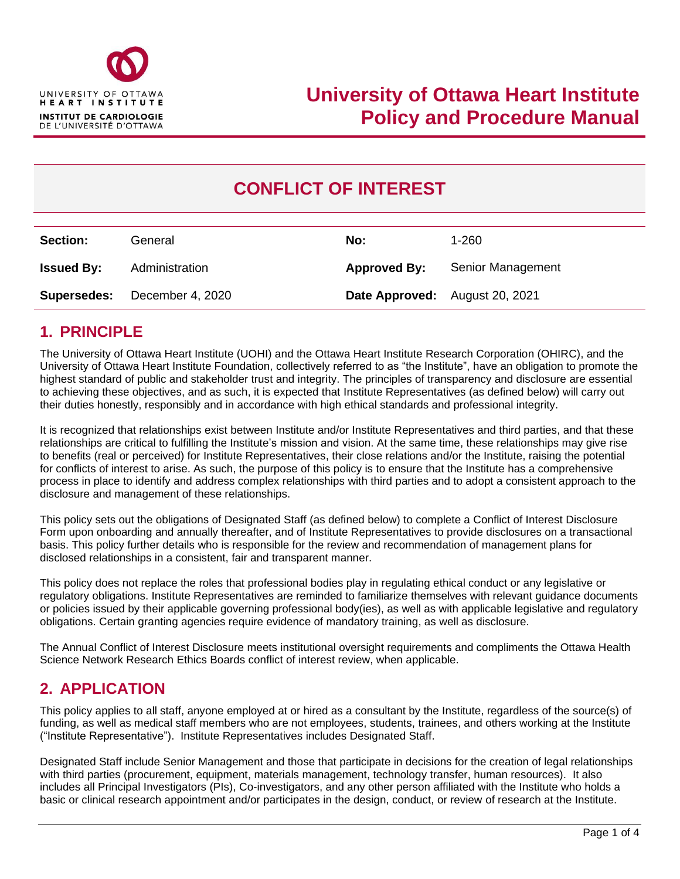

# **CONFLICT OF INTEREST**

| <b>Section:</b>   | General                             | No:                            | 1-260             |
|-------------------|-------------------------------------|--------------------------------|-------------------|
| <b>Issued By:</b> | Administration                      | <b>Approved By:</b>            | Senior Management |
|                   | <b>Supersedes:</b> December 4, 2020 | Date Approved: August 20, 2021 |                   |

# **1. PRINCIPLE**

The University of Ottawa Heart Institute (UOHI) and the Ottawa Heart Institute Research Corporation (OHIRC), and the University of Ottawa Heart Institute Foundation, collectively referred to as "the Institute", have an obligation to promote the highest standard of public and stakeholder trust and integrity. The principles of transparency and disclosure are essential to achieving these objectives, and as such, it is expected that Institute Representatives (as defined below) will carry out their duties honestly, responsibly and in accordance with high ethical standards and professional integrity.

It is recognized that relationships exist between Institute and/or Institute Representatives and third parties, and that these relationships are critical to fulfilling the Institute's mission and vision. At the same time, these relationships may give rise to benefits (real or perceived) for Institute Representatives, their close relations and/or the Institute, raising the potential for conflicts of interest to arise. As such, the purpose of this policy is to ensure that the Institute has a comprehensive process in place to identify and address complex relationships with third parties and to adopt a consistent approach to the disclosure and management of these relationships.

This policy sets out the obligations of Designated Staff (as defined below) to complete a Conflict of Interest Disclosure Form upon onboarding and annually thereafter, and of Institute Representatives to provide disclosures on a transactional basis. This policy further details who is responsible for the review and recommendation of management plans for disclosed relationships in a consistent, fair and transparent manner.

This policy does not replace the roles that professional bodies play in regulating ethical conduct or any legislative or regulatory obligations. Institute Representatives are reminded to familiarize themselves with relevant guidance documents or policies issued by their applicable governing professional body(ies), as well as with applicable legislative and regulatory obligations. Certain granting agencies require evidence of mandatory training, as well as disclosure.

The Annual Conflict of Interest Disclosure meets institutional oversight requirements and compliments the Ottawa Health Science Network Research Ethics Boards conflict of interest review, when applicable.

# **2. APPLICATION**

This policy applies to all staff, anyone employed at or hired as a consultant by the Institute, regardless of the source(s) of funding, as well as medical staff members who are not employees, students, trainees, and others working at the Institute ("Institute Representative"). Institute Representatives includes Designated Staff.

Designated Staff include Senior Management and those that participate in decisions for the creation of legal relationships with third parties (procurement, equipment, materials management, technology transfer, human resources). It also includes all Principal Investigators (PIs), Co-investigators, and any other person affiliated with the Institute who holds a basic or clinical research appointment and/or participates in the design, conduct, or review of research at the Institute.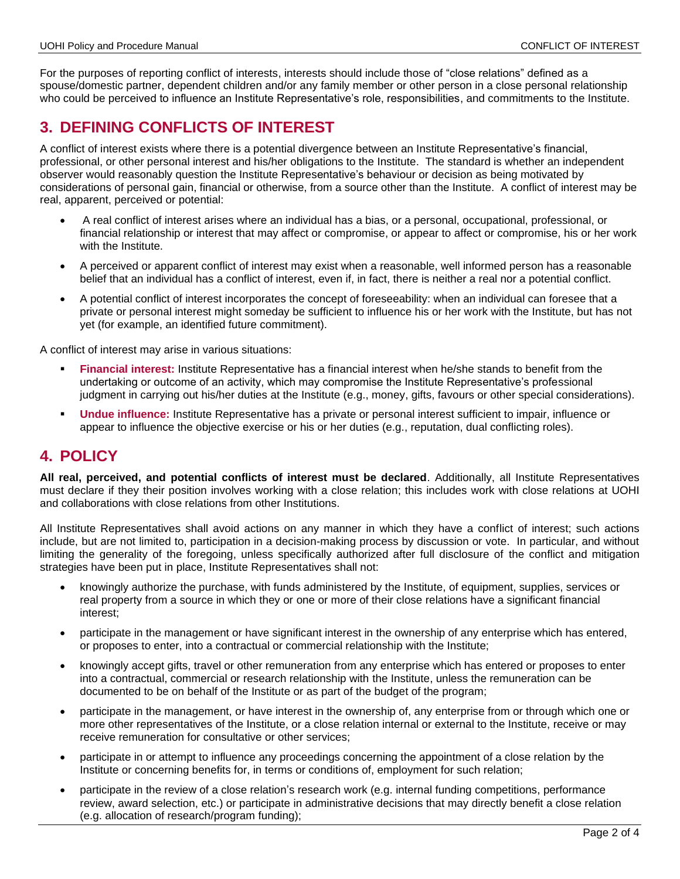For the purposes of reporting conflict of interests, interests should include those of "close relations" defined as a spouse/domestic partner, dependent children and/or any family member or other person in a close personal relationship who could be perceived to influence an Institute Representative's role, responsibilities, and commitments to the Institute.

# **3. DEFINING CONFLICTS OF INTEREST**

A conflict of interest exists where there is a potential divergence between an Institute Representative's financial, professional, or other personal interest and his/her obligations to the Institute. The standard is whether an independent observer would reasonably question the Institute Representative's behaviour or decision as being motivated by considerations of personal gain, financial or otherwise, from a source other than the Institute. A conflict of interest may be real, apparent, perceived or potential:

- A real conflict of interest arises where an individual has a bias, or a personal, occupational, professional, or financial relationship or interest that may affect or compromise, or appear to affect or compromise, his or her work with the Institute.
- A perceived or apparent conflict of interest may exist when a reasonable, well informed person has a reasonable belief that an individual has a conflict of interest, even if, in fact, there is neither a real nor a potential conflict.
- A potential conflict of interest incorporates the concept of foreseeability: when an individual can foresee that a private or personal interest might someday be sufficient to influence his or her work with the Institute, but has not yet (for example, an identified future commitment).

A conflict of interest may arise in various situations:

- **Financial interest:** Institute Representative has a financial interest when he/she stands to benefit from the undertaking or outcome of an activity, which may compromise the Institute Representative's professional judgment in carrying out his/her duties at the Institute (e.g., money, gifts, favours or other special considerations).
- **Undue influence:** Institute Representative has a private or personal interest sufficient to impair, influence or appear to influence the objective exercise or his or her duties (e.g., reputation, dual conflicting roles).

# **4. POLICY**

**All real, perceived, and potential conflicts of interest must be declared**. Additionally, all Institute Representatives must declare if they their position involves working with a close relation; this includes work with close relations at UOHI and collaborations with close relations from other Institutions.

All Institute Representatives shall avoid actions on any manner in which they have a conflict of interest; such actions include, but are not limited to, participation in a decision-making process by discussion or vote. In particular, and without limiting the generality of the foregoing, unless specifically authorized after full disclosure of the conflict and mitigation strategies have been put in place, Institute Representatives shall not:

- knowingly authorize the purchase, with funds administered by the Institute, of equipment, supplies, services or real property from a source in which they or one or more of their close relations have a significant financial interest;
- participate in the management or have significant interest in the ownership of any enterprise which has entered, or proposes to enter, into a contractual or commercial relationship with the Institute;
- knowingly accept gifts, travel or other remuneration from any enterprise which has entered or proposes to enter into a contractual, commercial or research relationship with the Institute, unless the remuneration can be documented to be on behalf of the Institute or as part of the budget of the program;
- participate in the management, or have interest in the ownership of, any enterprise from or through which one or more other representatives of the Institute, or a close relation internal or external to the Institute, receive or may receive remuneration for consultative or other services;
- participate in or attempt to influence any proceedings concerning the appointment of a close relation by the Institute or concerning benefits for, in terms or conditions of, employment for such relation;
- participate in the review of a close relation's research work (e.g. internal funding competitions, performance review, award selection, etc.) or participate in administrative decisions that may directly benefit a close relation (e.g. allocation of research/program funding);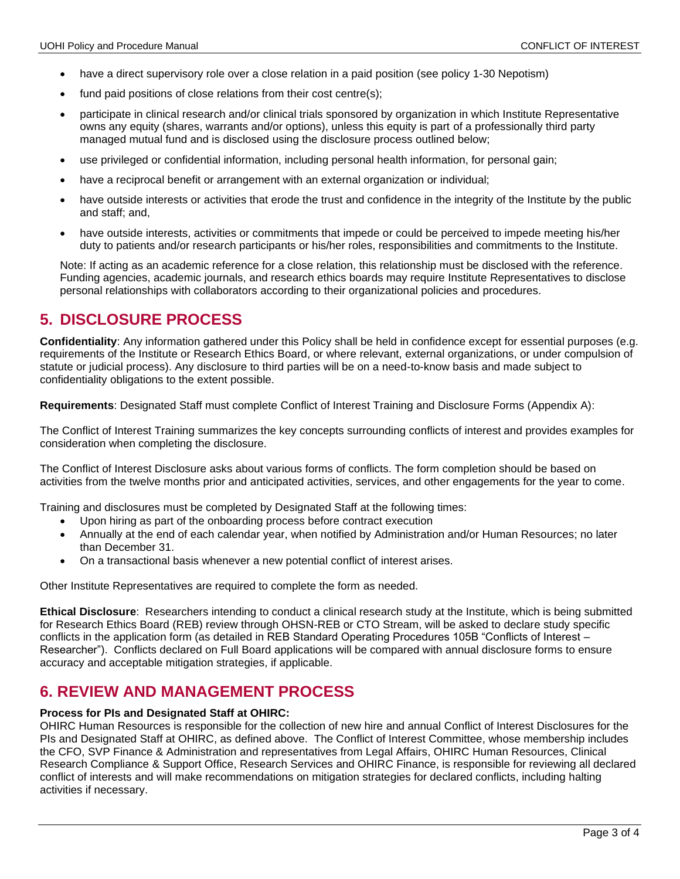- have a direct supervisory role over a close relation in a paid position (see policy 1-30 Nepotism)
- fund paid positions of close relations from their cost centre(s):
- participate in clinical research and/or clinical trials sponsored by organization in which Institute Representative owns any equity (shares, warrants and/or options), unless this equity is part of a professionally third party managed mutual fund and is disclosed using the disclosure process outlined below;
- use privileged or confidential information, including personal health information, for personal gain;
- have a reciprocal benefit or arrangement with an external organization or individual;
- have outside interests or activities that erode the trust and confidence in the integrity of the Institute by the public and staff; and,
- have outside interests, activities or commitments that impede or could be perceived to impede meeting his/her duty to patients and/or research participants or his/her roles, responsibilities and commitments to the Institute.

Note: If acting as an academic reference for a close relation, this relationship must be disclosed with the reference. Funding agencies, academic journals, and research ethics boards may require Institute Representatives to disclose personal relationships with collaborators according to their organizational policies and procedures.

### **5. DISCLOSURE PROCESS**

**Confidentiality**: Any information gathered under this Policy shall be held in confidence except for essential purposes (e.g. requirements of the Institute or Research Ethics Board, or where relevant, external organizations, or under compulsion of statute or judicial process). Any disclosure to third parties will be on a need-to-know basis and made subject to confidentiality obligations to the extent possible.

**Requirements**: Designated Staff must complete Conflict of Interest Training and Disclosure Forms (Appendix A):

The Conflict of Interest Training summarizes the key concepts surrounding conflicts of interest and provides examples for consideration when completing the disclosure.

The Conflict of Interest Disclosure asks about various forms of conflicts. The form completion should be based on activities from the twelve months prior and anticipated activities, services, and other engagements for the year to come.

Training and disclosures must be completed by Designated Staff at the following times:

- Upon hiring as part of the onboarding process before contract execution
- Annually at the end of each calendar year, when notified by Administration and/or Human Resources; no later than December 31.
- On a transactional basis whenever a new potential conflict of interest arises.

Other Institute Representatives are required to complete the form as needed.

**Ethical Disclosure**: Researchers intending to conduct a clinical research study at the Institute, which is being submitted for Research Ethics Board (REB) review through OHSN-REB or CTO Stream, will be asked to declare study specific conflicts in the application form (as detailed in REB Standard Operating Procedures 105B "Conflicts of Interest – Researcher"). Conflicts declared on Full Board applications will be compared with annual disclosure forms to ensure accuracy and acceptable mitigation strategies, if applicable.

### **6. REVIEW AND MANAGEMENT PROCESS**

#### **Process for PIs and Designated Staff at OHIRC:**

OHIRC Human Resources is responsible for the collection of new hire and annual Conflict of Interest Disclosures for the PIs and Designated Staff at OHIRC, as defined above. The Conflict of Interest Committee, whose membership includes the CFO, SVP Finance & Administration and representatives from Legal Affairs, OHIRC Human Resources, Clinical Research Compliance & Support Office, Research Services and OHIRC Finance, is responsible for reviewing all declared conflict of interests and will make recommendations on mitigation strategies for declared conflicts, including halting activities if necessary.